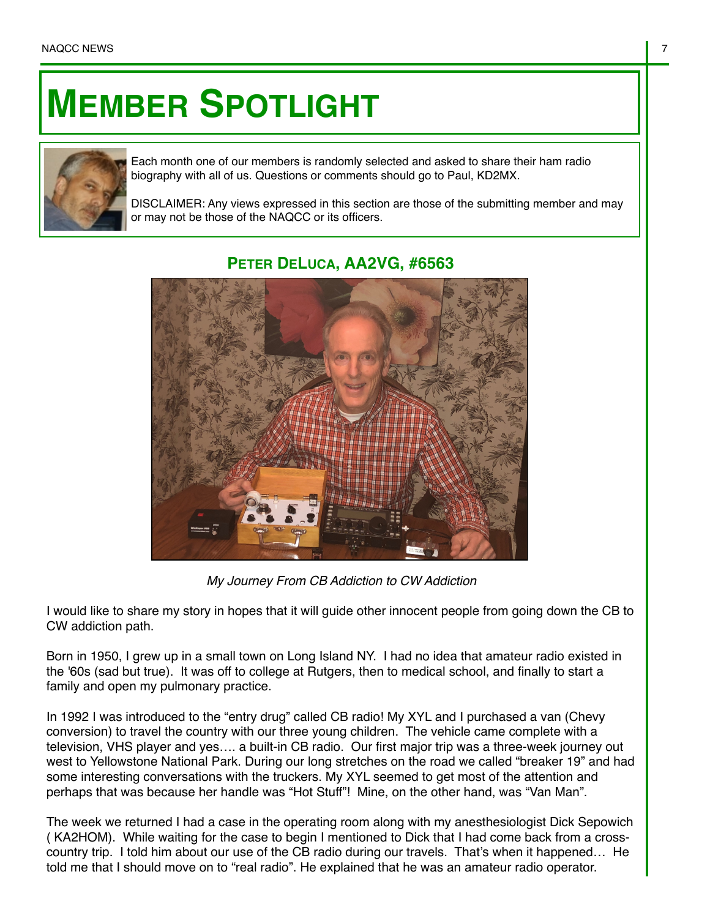## **MEMBER SPOTLIGHT**



Each month one of our members is randomly selected and asked to share their ham radio biography with all of us. Questions or comments should go to Paul, KD2MX.

DISCLAIMER: Any views expressed in this section are those of the submitting member and may or may not be those of the NAQCC or its officers.

## **PETER DELUCA, AA2VG, #6563**

*My Journey From CB Addiction to CW Addiction*

I would like to share my story in hopes that it will guide other innocent people from going down the CB to CW addiction path.

Born in 1950, I grew up in a small town on Long Island NY. I had no idea that amateur radio existed in the '60s (sad but true). It was off to college at Rutgers, then to medical school, and finally to start a family and open my pulmonary practice.

In 1992 I was introduced to the "entry drug" called CB radio! My XYL and I purchased a van (Chevy conversion) to travel the country with our three young children. The vehicle came complete with a television, VHS player and yes…. a built-in CB radio. Our first major trip was a three-week journey out west to Yellowstone National Park. During our long stretches on the road we called "breaker 19" and had some interesting conversations with the truckers. My XYL seemed to get most of the attention and perhaps that was because her handle was "Hot Stuff"! Mine, on the other hand, was "Van Man".

The week we returned I had a case in the operating room along with my anesthesiologist Dick Sepowich ( KA2HOM). While waiting for the case to begin I mentioned to Dick that I had come back from a crosscountry trip. I told him about our use of the CB radio during our travels. That's when it happened… He told me that I should move on to "real radio". He explained that he was an amateur radio operator.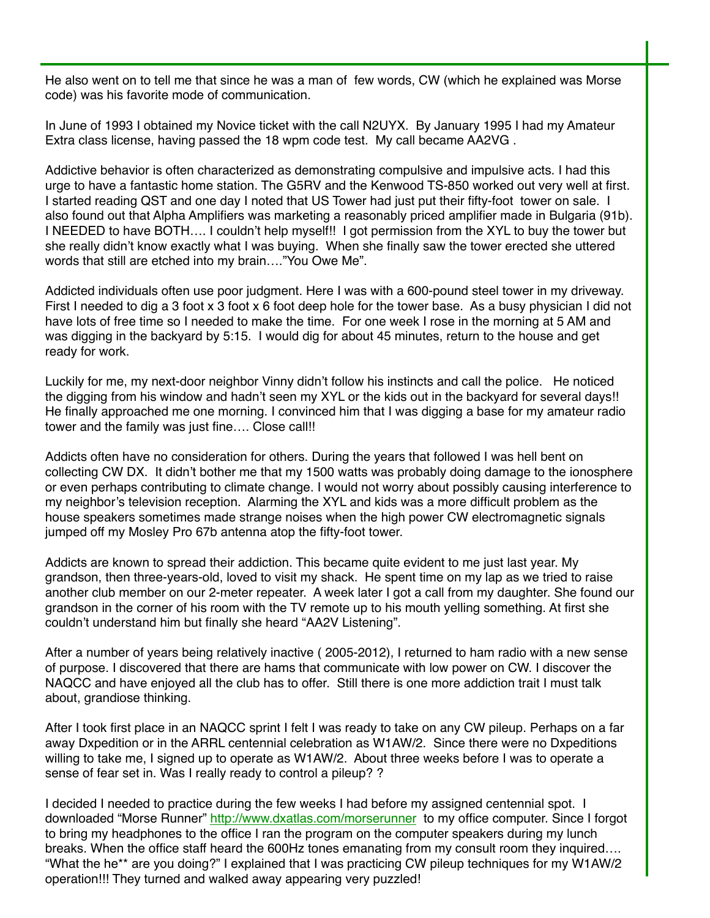He also went on to tell me that since he was a man of few words, CW (which he explained was Morse code) was his favorite mode of communication.

In June of 1993 I obtained my Novice ticket with the call N2UYX. By January 1995 I had my Amateur Extra class license, having passed the 18 wpm code test. My call became AA2VG .

Addictive behavior is often characterized as demonstrating compulsive and impulsive acts. I had this urge to have a fantastic home station. The G5RV and the Kenwood TS-850 worked out very well at first. I started reading QST and one day I noted that US Tower had just put their fifty-foot tower on sale. I also found out that Alpha Amplifiers was marketing a reasonably priced amplifier made in Bulgaria (91b). I NEEDED to have BOTH…. I couldn't help myself!! I got permission from the XYL to buy the tower but she really didn't know exactly what I was buying. When she finally saw the tower erected she uttered words that still are etched into my brain…."You Owe Me".

Addicted individuals often use poor judgment. Here I was with a 600-pound steel tower in my driveway. First I needed to dig a 3 foot x 3 foot x 6 foot deep hole for the tower base. As a busy physician I did not have lots of free time so I needed to make the time. For one week I rose in the morning at 5 AM and was digging in the backyard by 5:15. I would dig for about 45 minutes, return to the house and get ready for work.

Luckily for me, my next-door neighbor Vinny didn't follow his instincts and call the police. He noticed the digging from his window and hadn't seen my XYL or the kids out in the backyard for several days!! He finally approached me one morning. I convinced him that I was digging a base for my amateur radio tower and the family was just fine.... Close call!!

Addicts often have no consideration for others. During the years that followed I was hell bent on collecting CW DX. It didn't bother me that my 1500 watts was probably doing damage to the ionosphere or even perhaps contributing to climate change. I would not worry about possibly causing interference to my neighbor's television reception. Alarming the XYL and kids was a more difficult problem as the house speakers sometimes made strange noises when the high power CW electromagnetic signals jumped off my Mosley Pro 67b antenna atop the fifty-foot tower.

Addicts are known to spread their addiction. This became quite evident to me just last year. My grandson, then three-years-old, loved to visit my shack. He spent time on my lap as we tried to raise another club member on our 2-meter repeater. A week later I got a call from my daughter. She found our grandson in the corner of his room with the TV remote up to his mouth yelling something. At first she couldn't understand him but finally she heard "AA2V Listening".

After a number of years being relatively inactive ( 2005-2012), I returned to ham radio with a new sense of purpose. I discovered that there are hams that communicate with low power on CW. I discover the NAQCC and have enjoyed all the club has to offer. Still there is one more addiction trait I must talk about, grandiose thinking.

After I took first place in an NAQCC sprint I felt I was ready to take on any CW pileup. Perhaps on a far away Dxpedition or in the ARRL centennial celebration as W1AW/2. Since there were no Dxpeditions willing to take me, I signed up to operate as W1AW/2. About three weeks before I was to operate a sense of fear set in. Was I really ready to control a pileup? ?

I decided I needed to practice during the few weeks I had before my assigned centennial spot. I downloaded "Morse Runner"<http://www.dxatlas.com/morserunner> to my office computer. Since I forgot to bring my headphones to the office I ran the program on the computer speakers during my lunch breaks. When the office staff heard the 600Hz tones emanating from my consult room they inquired…. "What the he\*\* are you doing?" I explained that I was practicing CW pileup techniques for my W1AW/2 operation!!! They turned and walked away appearing very puzzled!